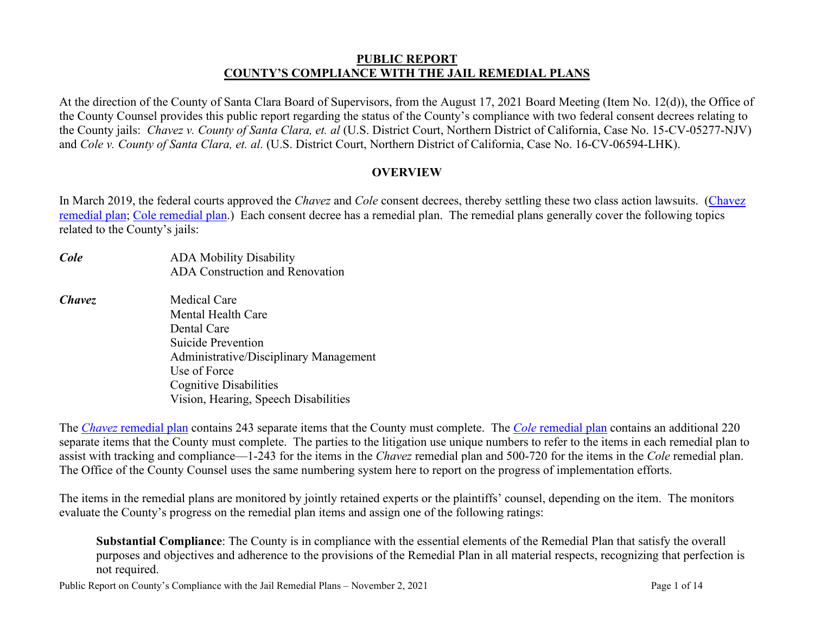#### **PUBLIC REPORT COUNTY'S COMPLIANCE WITH THE JAIL REMEDIAL PLANS**

At the direction of the County of Santa Clara Board of Supervisors, from the August 17, 2021 Board Meeting (Item No. 12(d)), the Office of the County Counsel provides this public report regarding the status of the County's compliance with two federal consent decrees relating to the County jails: *Chavez v. County of Santa Clara, et. al* (U.S. District Court, Northern District of California, Case No. 15-CV-05277-NJV) and *Cole v. County of Santa Clara, et. al.* (U.S. District Court, Northern District of California, Case No. 16-CV-06594-LHK).

### **OVERVIEW**

In March 2019, the federal courts approved the *Chavez* and *Cole* consent decrees, thereby settling these two class action lawsuits. [\(Chavez](https://jailreforms.sccgov.org/sites/g/files/exjcpb1016/files/documents/Chavez%20v.%20County%20-Consent%20Decree%20and%20Remedial%20Plan%20%28numbered%29.pdf) [remedial plan;](https://jailreforms.sccgov.org/sites/g/files/exjcpb1016/files/documents/Chavez%20v.%20County%20-Consent%20Decree%20and%20Remedial%20Plan%20%28numbered%29.pdf) Cole [remedial](https://jailreforms.sccgov.org/sites/g/files/exjcpb1016/files/documents/Cole%20v.%20County%20-%20Consent%20Decree%20and%20Remedial%20Plan%20%28numbered%29.pdf) plan.) Each consent decree has a remedial plan. The remedial plans generally cover the following topics related to the County's jails:

- *Cole* ADA Mobility Disability ADA Construction and Renovation
- *Chavez* Medical Care Mental Health Care Dental Care Suicide Prevention Administrative/Disciplinary Management Use of Force Cognitive Disabilities Vision, Hearing, Speech Disabilities

The *Chavez* [remedial plan](https://jailreforms.sccgov.org/sites/g/files/exjcpb1016/files/documents/Chavez%20v.%20County%20-Consent%20Decree%20and%20Remedial%20Plan%20%28numbered%29.pdf) contains 243 separate items that the County must complete. The *Cole* [remedial plan](https://jailreforms.sccgov.org/sites/g/files/exjcpb1016/files/documents/Cole%20v.%20County%20-%20Consent%20Decree%20and%20Remedial%20Plan%20%28numbered%29.pdf) contains an additional 220 separate items that the County must complete. The parties to the litigation use unique numbers to refer to the items in each remedial plan to assist with tracking and compliance—1-243 for the items in the *Chavez* remedial plan and 500-720 for the items in the *Cole* remedial plan. The Office of the County Counsel uses the same numbering system here to report on the progress of implementation efforts.

The items in the remedial plans are monitored by jointly retained experts or the plaintiffs' counsel, depending on the item. The monitors evaluate the County's progress on the remedial plan items and assign one of the following ratings:

**Substantial Compliance**: The County is in compliance with the essential elements of the Remedial Plan that satisfy the overall purposes and objectives and adherence to the provisions of the Remedial Plan in all material respects, recognizing that perfection is not required.

Public Report on County's Compliance with the Jail Remedial Plans – November 2, 2021 Page 1 of 14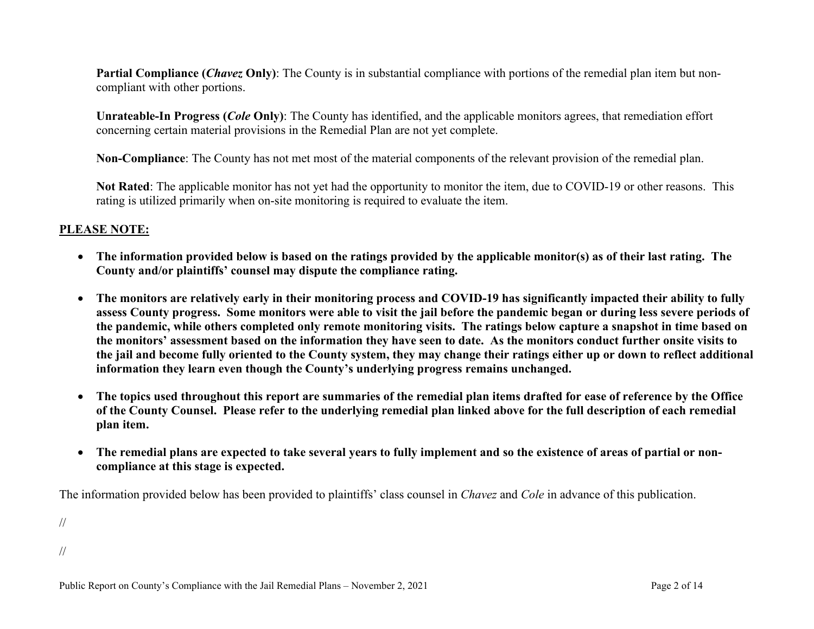**Partial Compliance (***Chavez* **Only)**: The County is in substantial compliance with portions of the remedial plan item but noncompliant with other portions.

**Unrateable-In Progress (***Cole* **Only)**: The County has identified, and the applicable monitors agrees, that remediation effort concerning certain material provisions in the Remedial Plan are not yet complete.

**Non-Compliance**: The County has not met most of the material components of the relevant provision of the remedial plan.

**Not Rated**: The applicable monitor has not yet had the opportunity to monitor the item, due to COVID-19 or other reasons. This rating is utilized primarily when on-site monitoring is required to evaluate the item.

#### **PLEASE NOTE:**

- **The information provided below is based on the ratings provided by the applicable monitor(s) as of their last rating. The County and/or plaintiffs' counsel may dispute the compliance rating.**
- **The monitors are relatively early in their monitoring process and COVID-19 has significantly impacted their ability to fully assess County progress. Some monitors were able to visit the jail before the pandemic began or during less severe periods of the pandemic, while others completed only remote monitoring visits. The ratings below capture a snapshot in time based on the monitors' assessment based on the information they have seen to date. As the monitors conduct further onsite visits to the jail and become fully oriented to the County system, they may change their ratings either up or down to reflect additional information they learn even though the County's underlying progress remains unchanged.**
- **The topics used throughout this report are summaries of the remedial plan items drafted for ease of reference by the Office of the County Counsel. Please refer to the underlying remedial plan linked above for the full description of each remedial plan item.**
- **The remedial plans are expected to take several years to fully implement and so the existence of areas of partial or noncompliance at this stage is expected.**

The information provided below has been provided to plaintiffs' class counsel in *Chavez* and *Cole* in advance of this publication.

//

//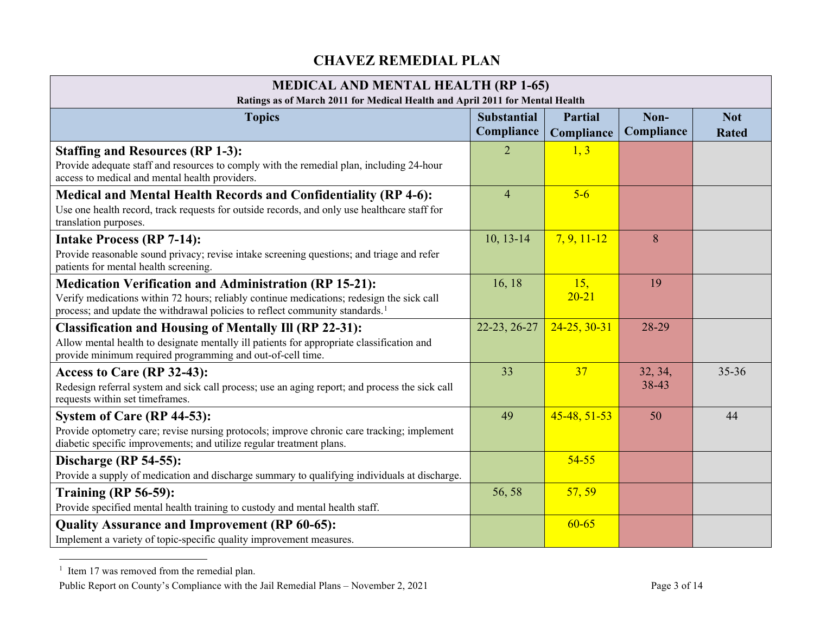# <span id="page-2-0"></span>**CHAVEZ REMEDIAL PLAN**

| <b>MEDICAL AND MENTAL HEALTH (RP 1-65)</b><br>Ratings as of March 2011 for Medical Health and April 2011 for Mental Health                                                                                                                             |                |                    |                  |           |  |
|--------------------------------------------------------------------------------------------------------------------------------------------------------------------------------------------------------------------------------------------------------|----------------|--------------------|------------------|-----------|--|
| <b>Substantial</b><br>Non-<br><b>Topics</b><br><b>Partial</b><br>Compliance<br>Compliance<br>Compliance<br><b>Rated</b>                                                                                                                                |                |                    |                  |           |  |
| <b>Staffing and Resources (RP 1-3):</b><br>Provide adequate staff and resources to comply with the remedial plan, including 24-hour<br>access to medical and mental health providers.                                                                  | $\overline{2}$ | 1, 3               |                  |           |  |
| <b>Medical and Mental Health Records and Confidentiality (RP 4-6):</b><br>Use one health record, track requests for outside records, and only use healthcare staff for<br>translation purposes.                                                        | $\overline{4}$ | $5-6$              |                  |           |  |
| <b>Intake Process (RP 7-14):</b><br>Provide reasonable sound privacy; revise intake screening questions; and triage and refer<br>patients for mental health screening.                                                                                 | $10, 13-14$    | $7, 9, 11-12$      | 8                |           |  |
| <b>Medication Verification and Administration (RP 15-21):</b><br>Verify medications within 72 hours; reliably continue medications; redesign the sick call<br>process; and update the withdrawal policies to reflect community standards. <sup>1</sup> | 16, 18         | 15,<br>$20 - 21$   | 19               |           |  |
| <b>Classification and Housing of Mentally III (RP 22-31):</b><br>Allow mental health to designate mentally ill patients for appropriate classification and<br>provide minimum required programming and out-of-cell time.                               | 22-23, 26-27   | $24 - 25, 30 - 31$ | 28-29            |           |  |
| Access to Care (RP 32-43):<br>Redesign referral system and sick call process; use an aging report; and process the sick call<br>requests within set timeframes.                                                                                        | 33             | 37                 | 32, 34,<br>38-43 | $35 - 36$ |  |
| System of Care (RP 44-53):<br>Provide optometry care; revise nursing protocols; improve chronic care tracking; implement<br>diabetic specific improvements; and utilize regular treatment plans.                                                       | 49             | 45-48, 51-53       | 50               | 44        |  |
| Discharge (RP 54-55):<br>Provide a supply of medication and discharge summary to qualifying individuals at discharge.                                                                                                                                  |                | $54 - 55$          |                  |           |  |
| Training $(RP 56-59)$ :<br>Provide specified mental health training to custody and mental health staff.                                                                                                                                                | 56, 58         | 57, 59             |                  |           |  |
| <b>Quality Assurance and Improvement (RP 60-65):</b><br>Implement a variety of topic-specific quality improvement measures.                                                                                                                            |                | $60 - 65$          |                  |           |  |

 $1$  Item 17 was removed from the remedial plan.

Public Report on County's Compliance with the Jail Remedial Plans – November 2, 2021 Page 3 of 14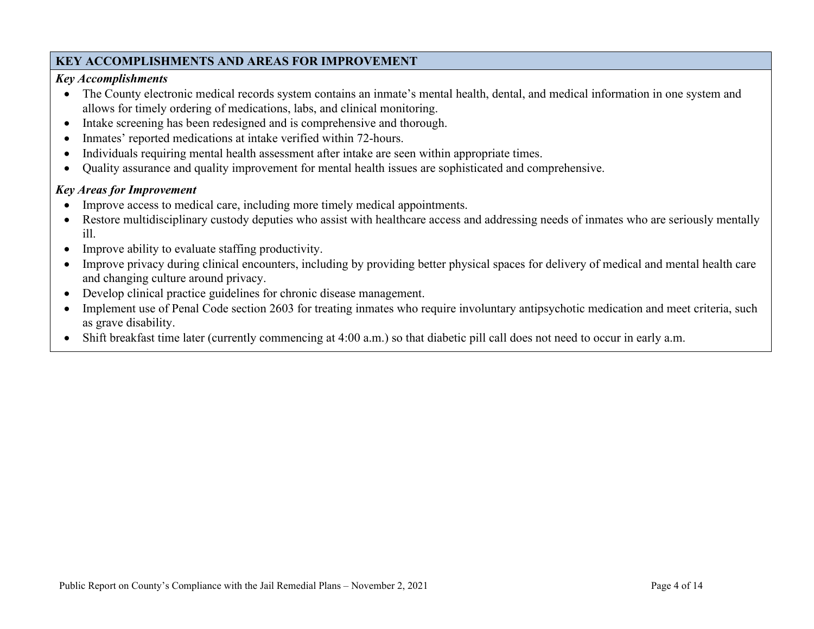# **KEY ACCOMPLISHMENTS AND AREAS FOR IMPROVEMENT**

## *Key Accomplishments*

- The County electronic medical records system contains an inmate's mental health, dental, and medical information in one system and allows for timely ordering of medications, labs, and clinical monitoring.
- Intake screening has been redesigned and is comprehensive and thorough.
- Inmates' reported medications at intake verified within 72-hours.
- Individuals requiring mental health assessment after intake are seen within appropriate times.
- Quality assurance and quality improvement for mental health issues are sophisticated and comprehensive.

- Improve access to medical care, including more timely medical appointments.
- Restore multidisciplinary custody deputies who assist with healthcare access and addressing needs of inmates who are seriously mentally ill.
- Improve ability to evaluate staffing productivity.
- Improve privacy during clinical encounters, including by providing better physical spaces for delivery of medical and mental health care and changing culture around privacy.
- Develop clinical practice guidelines for chronic disease management.
- Implement use of Penal Code section 2603 for treating inmates who require involuntary antipsychotic medication and meet criteria, such as grave disability.
- Shift breakfast time later (currently commencing at 4:00 a.m.) so that diabetic pill call does not need to occur in early a.m.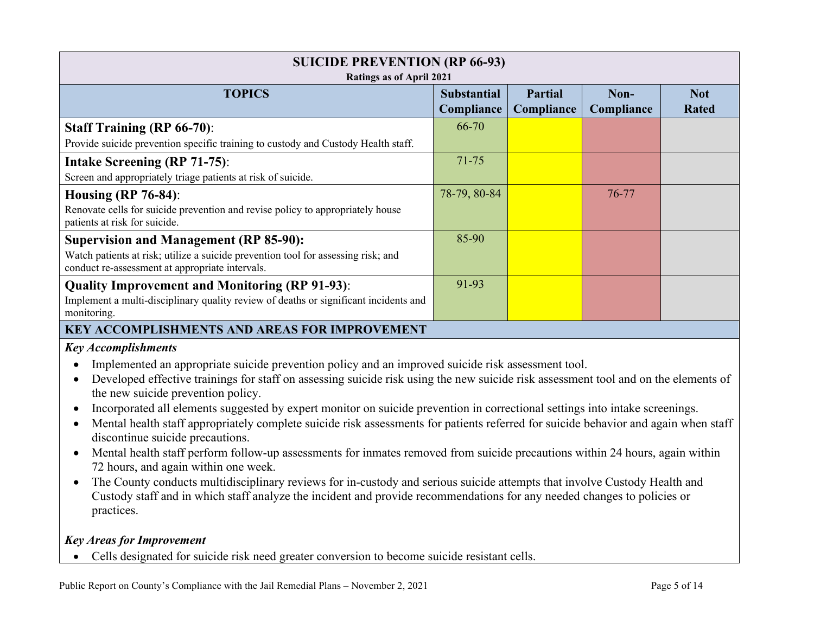| <b>SUICIDE PREVENTION (RP 66-93)</b><br><b>Ratings as of April 2021</b>                                                                                                                                                                                                                                                                                                                                                                                                                                                                                                                                                                                                                                                                                                                                                                                                                                                                                                                                                                                                                                                                 |                                  |                              |                    |                            |
|-----------------------------------------------------------------------------------------------------------------------------------------------------------------------------------------------------------------------------------------------------------------------------------------------------------------------------------------------------------------------------------------------------------------------------------------------------------------------------------------------------------------------------------------------------------------------------------------------------------------------------------------------------------------------------------------------------------------------------------------------------------------------------------------------------------------------------------------------------------------------------------------------------------------------------------------------------------------------------------------------------------------------------------------------------------------------------------------------------------------------------------------|----------------------------------|------------------------------|--------------------|----------------------------|
| <b>TOPICS</b>                                                                                                                                                                                                                                                                                                                                                                                                                                                                                                                                                                                                                                                                                                                                                                                                                                                                                                                                                                                                                                                                                                                           | <b>Substantial</b><br>Compliance | <b>Partial</b><br>Compliance | Non-<br>Compliance | <b>Not</b><br><b>Rated</b> |
| <b>Staff Training (RP 66-70):</b>                                                                                                                                                                                                                                                                                                                                                                                                                                                                                                                                                                                                                                                                                                                                                                                                                                                                                                                                                                                                                                                                                                       | 66-70                            |                              |                    |                            |
| Provide suicide prevention specific training to custody and Custody Health staff.                                                                                                                                                                                                                                                                                                                                                                                                                                                                                                                                                                                                                                                                                                                                                                                                                                                                                                                                                                                                                                                       |                                  |                              |                    |                            |
| <b>Intake Screening (RP 71-75):</b><br>Screen and appropriately triage patients at risk of suicide.                                                                                                                                                                                                                                                                                                                                                                                                                                                                                                                                                                                                                                                                                                                                                                                                                                                                                                                                                                                                                                     | 71-75                            |                              |                    |                            |
| <b>Housing (RP 76-84):</b><br>Renovate cells for suicide prevention and revise policy to appropriately house<br>patients at risk for suicide.                                                                                                                                                                                                                                                                                                                                                                                                                                                                                                                                                                                                                                                                                                                                                                                                                                                                                                                                                                                           | 78-79, 80-84                     |                              | 76-77              |                            |
| <b>Supervision and Management (RP 85-90):</b><br>Watch patients at risk; utilize a suicide prevention tool for assessing risk; and<br>conduct re-assessment at appropriate intervals.                                                                                                                                                                                                                                                                                                                                                                                                                                                                                                                                                                                                                                                                                                                                                                                                                                                                                                                                                   | 85-90                            |                              |                    |                            |
| <b>Quality Improvement and Monitoring (RP 91-93):</b><br>Implement a multi-disciplinary quality review of deaths or significant incidents and<br>monitoring.                                                                                                                                                                                                                                                                                                                                                                                                                                                                                                                                                                                                                                                                                                                                                                                                                                                                                                                                                                            | 91-93                            |                              |                    |                            |
| <b>KEY ACCOMPLISHMENTS AND AREAS FOR IMPROVEMENT</b>                                                                                                                                                                                                                                                                                                                                                                                                                                                                                                                                                                                                                                                                                                                                                                                                                                                                                                                                                                                                                                                                                    |                                  |                              |                    |                            |
| <b>Key Accomplishments</b><br>Implemented an appropriate suicide prevention policy and an improved suicide risk assessment tool.<br>$\bullet$<br>Developed effective trainings for staff on assessing suicide risk using the new suicide risk assessment tool and on the elements of<br>$\bullet$<br>the new suicide prevention policy.<br>Incorporated all elements suggested by expert monitor on suicide prevention in correctional settings into intake screenings.<br>Mental health staff appropriately complete suicide risk assessments for patients referred for suicide behavior and again when staff<br>$\bullet$<br>discontinue suicide precautions.<br>Mental health staff perform follow-up assessments for inmates removed from suicide precautions within 24 hours, again within<br>$\bullet$<br>72 hours, and again within one week.<br>The County conducts multidisciplinary reviews for in-custody and serious suicide attempts that involve Custody Health and<br>$\bullet$<br>Custody staff and in which staff analyze the incident and provide recommendations for any needed changes to policies or<br>practices. |                                  |                              |                    |                            |

# *Key Areas for Improvement*

• Cells designated for suicide risk need greater conversion to become suicide resistant cells.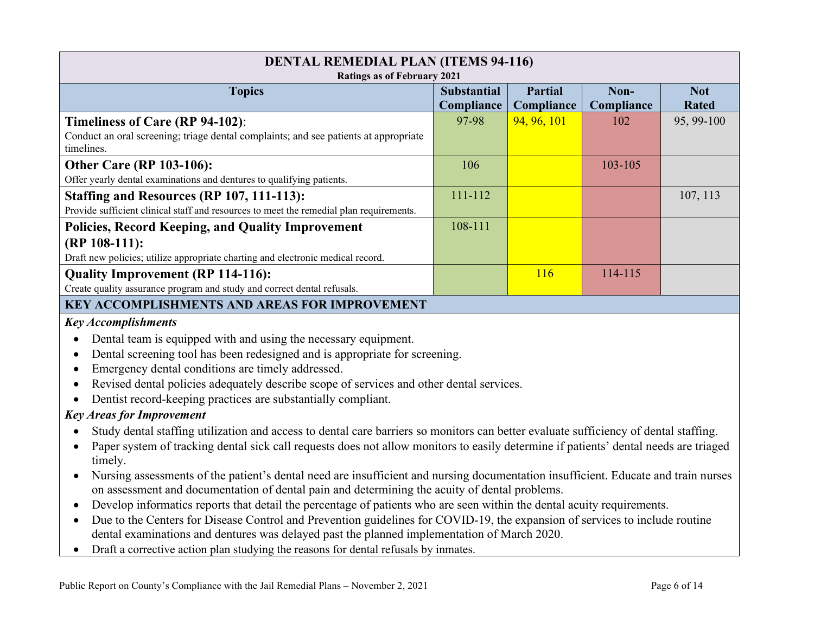| <b>DENTAL REMEDIAL PLAN (ITEMS 94-116)</b>                                              |                    |             |            |              |
|-----------------------------------------------------------------------------------------|--------------------|-------------|------------|--------------|
| <b>Ratings as of February 2021</b>                                                      |                    |             |            |              |
| <b>Topics</b>                                                                           | <b>Substantial</b> | Partial     | Non-       | <b>Not</b>   |
|                                                                                         | Compliance         | Compliance  | Compliance | <b>Rated</b> |
| Timeliness of Care (RP 94-102):                                                         | 97-98              | 94, 96, 101 | 102        | 95, 99-100   |
| Conduct an oral screening; triage dental complaints; and see patients at appropriate    |                    |             |            |              |
| timelines.                                                                              |                    |             |            |              |
| <b>Other Care (RP 103-106):</b>                                                         | 106                |             | 103-105    |              |
| Offer yearly dental examinations and dentures to qualifying patients.                   |                    |             |            |              |
| Staffing and Resources (RP 107, 111-113):                                               | $111 - 112$        |             |            | 107, 113     |
| Provide sufficient clinical staff and resources to meet the remedial plan requirements. |                    |             |            |              |
| Policies, Record Keeping, and Quality Improvement                                       | 108-111            |             |            |              |
| $(RP 108-111)$ :                                                                        |                    |             |            |              |
| Draft new policies; utilize appropriate charting and electronic medical record.         |                    |             |            |              |
| <b>Quality Improvement (RP 114-116):</b>                                                |                    | <b>116</b>  | 114-115    |              |
| Create quality assurance program and study and correct dental refusals.                 |                    |             |            |              |
| <b>KEY ACCOMPLISHMENTS AND AREAS FOR IMPROVEMENT</b>                                    |                    |             |            |              |
| <b>Key Accomplishments</b>                                                              |                    |             |            |              |

- Dental team is equipped with and using the necessary equipment.
- Dental screening tool has been redesigned and is appropriate for screening.
- Emergency dental conditions are timely addressed.
- Revised dental policies adequately describe scope of services and other dental services.
- Dentist record-keeping practices are substantially compliant.

- Study dental staffing utilization and access to dental care barriers so monitors can better evaluate sufficiency of dental staffing.
- Paper system of tracking dental sick call requests does not allow monitors to easily determine if patients' dental needs are triaged timely.
- Nursing assessments of the patient's dental need are insufficient and nursing documentation insufficient. Educate and train nurses on assessment and documentation of dental pain and determining the acuity of dental problems.
- Develop informatics reports that detail the percentage of patients who are seen within the dental acuity requirements.
- Due to the Centers for Disease Control and Prevention guidelines for COVID-19, the expansion of services to include routine dental examinations and dentures was delayed past the planned implementation of March 2020.
- Draft a corrective action plan studying the reasons for dental refusals by inmates.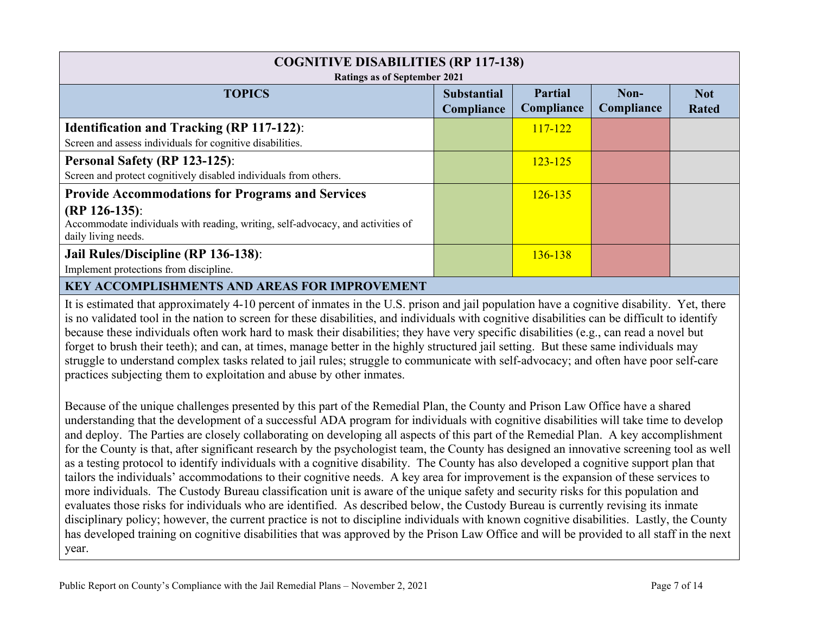| <b>COGNITIVE DISABILITIES (RP 117-138)</b><br>Ratings as of September 2021                                                                                                            |                                  |                              |                    |                            |
|---------------------------------------------------------------------------------------------------------------------------------------------------------------------------------------|----------------------------------|------------------------------|--------------------|----------------------------|
| <b>TOPICS</b>                                                                                                                                                                         | <b>Substantial</b><br>Compliance | <b>Partial</b><br>Compliance | Non-<br>Compliance | <b>Not</b><br><b>Rated</b> |
| <b>Identification and Tracking (RP 117-122):</b><br>Screen and assess individuals for cognitive disabilities.                                                                         |                                  | $117 - 122$                  |                    |                            |
| Personal Safety (RP 123-125):<br>Screen and protect cognitively disabled individuals from others.                                                                                     |                                  | $123 - 125$                  |                    |                            |
| <b>Provide Accommodations for Programs and Services</b><br>$(RP 126-135)$ :<br>Accommodate individuals with reading, writing, self-advocacy, and activities of<br>daily living needs. |                                  | $126 - 135$                  |                    |                            |
| Jail Rules/Discipline (RP 136-138):<br>Implement protections from discipline.                                                                                                         |                                  | 136-138                      |                    |                            |
| <b>KEY ACCOMPLISHMENTS AND AREAS FOR IMPROVEMENT</b>                                                                                                                                  |                                  |                              |                    |                            |

It is estimated that approximately 4-10 percent of inmates in the U.S. prison and jail population have a cognitive disability. Yet, there is no validated tool in the nation to screen for these disabilities, and individuals with cognitive disabilities can be difficult to identify because these individuals often work hard to mask their disabilities; they have very specific disabilities (e.g., can read a novel but forget to brush their teeth); and can, at times, manage better in the highly structured jail setting. But these same individuals may struggle to understand complex tasks related to jail rules; struggle to communicate with self-advocacy; and often have poor self-care practices subjecting them to exploitation and abuse by other inmates.

Because of the unique challenges presented by this part of the Remedial Plan, the County and Prison Law Office have a shared understanding that the development of a successful ADA program for individuals with cognitive disabilities will take time to develop and deploy. The Parties are closely collaborating on developing all aspects of this part of the Remedial Plan. A key accomplishment for the County is that, after significant research by the psychologist team, the County has designed an innovative screening tool as well as a testing protocol to identify individuals with a cognitive disability. The County has also developed a cognitive support plan that tailors the individuals' accommodations to their cognitive needs. A key area for improvement is the expansion of these services to more individuals. The Custody Bureau classification unit is aware of the unique safety and security risks for this population and evaluates those risks for individuals who are identified. As described below, the Custody Bureau is currently revising its inmate disciplinary policy; however, the current practice is not to discipline individuals with known cognitive disabilities. Lastly, the County has developed training on cognitive disabilities that was approved by the Prison Law Office and will be provided to all staff in the next year.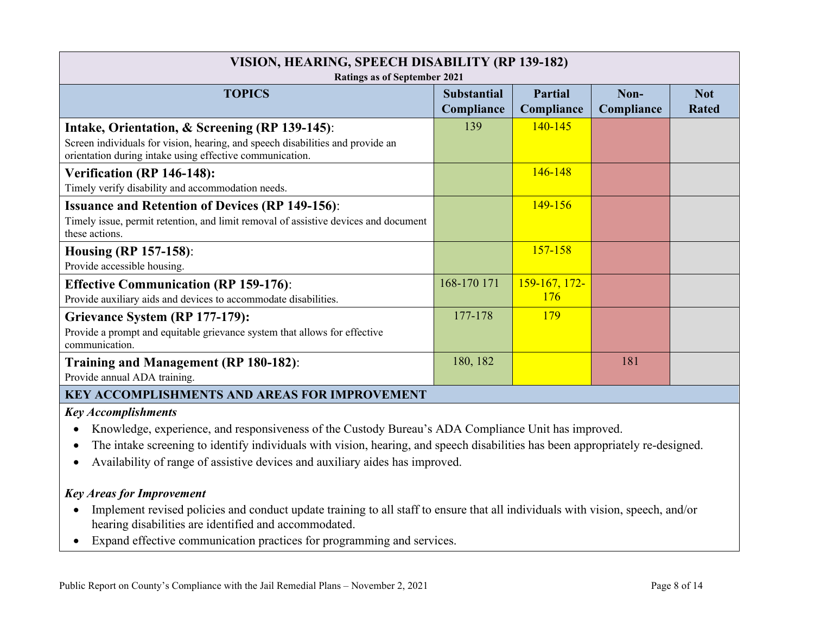| VISION, HEARING, SPEECH DISABILITY (RP 139-182)<br><b>Ratings as of September 2021</b>                                                                                                       |                                  |                             |                    |                            |
|----------------------------------------------------------------------------------------------------------------------------------------------------------------------------------------------|----------------------------------|-----------------------------|--------------------|----------------------------|
| <b>TOPICS</b>                                                                                                                                                                                | <b>Substantial</b><br>Compliance | Partial<br>Compliance       | Non-<br>Compliance | <b>Not</b><br><b>Rated</b> |
| Intake, Orientation, & Screening (RP 139-145):<br>Screen individuals for vision, hearing, and speech disabilities and provide an<br>orientation during intake using effective communication. | 139                              | $140 - 145$                 |                    |                            |
| Verification (RP 146-148):<br>Timely verify disability and accommodation needs.                                                                                                              |                                  | $146 - 148$                 |                    |                            |
| <b>Issuance and Retention of Devices (RP 149-156):</b><br>Timely issue, permit retention, and limit removal of assistive devices and document<br>these actions.                              |                                  | $149 - 156$                 |                    |                            |
| <b>Housing (RP 157-158):</b><br>Provide accessible housing.                                                                                                                                  |                                  | $157 - 158$                 |                    |                            |
| <b>Effective Communication (RP 159-176):</b><br>Provide auxiliary aids and devices to accommodate disabilities.                                                                              | 168-170 171                      | 159-167, 172-<br><b>176</b> |                    |                            |
| Grievance System (RP 177-179):<br>Provide a prompt and equitable grievance system that allows for effective<br>communication.                                                                | 177-178                          | <b>179</b>                  |                    |                            |
| Training and Management (RP 180-182):<br>Provide annual ADA training.                                                                                                                        | 180, 182                         |                             | 181                |                            |
| <b>KEY ACCOMPLISHMENTS AND AREAS FOR IMPROVEMENT</b>                                                                                                                                         |                                  |                             |                    |                            |

#### *Key Accomplishments*

- Knowledge, experience, and responsiveness of the Custody Bureau's ADA Compliance Unit has improved.
- The intake screening to identify individuals with vision, hearing, and speech disabilities has been appropriately re-designed.
- Availability of range of assistive devices and auxiliary aides has improved.

- Implement revised policies and conduct update training to all staff to ensure that all individuals with vision, speech, and/or hearing disabilities are identified and accommodated.
- Expand effective communication practices for programming and services.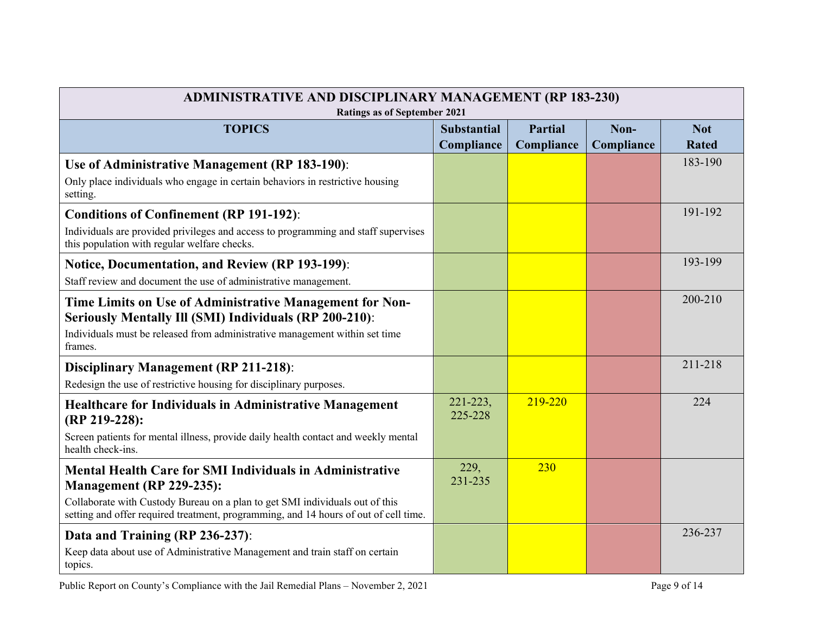| <b>ADMINISTRATIVE AND DISCIPLINARY MANAGEMENT (RP 183-230)</b><br><b>Ratings as of September 2021</b>                                                                                                                                                               |                                  |                              |                    |                            |
|---------------------------------------------------------------------------------------------------------------------------------------------------------------------------------------------------------------------------------------------------------------------|----------------------------------|------------------------------|--------------------|----------------------------|
| <b>TOPICS</b>                                                                                                                                                                                                                                                       | <b>Substantial</b><br>Compliance | <b>Partial</b><br>Compliance | Non-<br>Compliance | <b>Not</b><br><b>Rated</b> |
| Use of Administrative Management (RP 183-190):<br>Only place individuals who engage in certain behaviors in restrictive housing<br>setting.                                                                                                                         |                                  |                              |                    | 183-190                    |
| <b>Conditions of Confinement (RP 191-192):</b><br>Individuals are provided privileges and access to programming and staff supervises<br>this population with regular welfare checks.                                                                                |                                  |                              |                    | 191-192                    |
| Notice, Documentation, and Review (RP 193-199):<br>Staff review and document the use of administrative management.                                                                                                                                                  |                                  |                              |                    | 193-199                    |
| Time Limits on Use of Administrative Management for Non-<br>Seriously Mentally Ill (SMI) Individuals (RP 200-210):<br>Individuals must be released from administrative management within set time<br>frames.                                                        |                                  |                              |                    | 200-210                    |
| <b>Disciplinary Management (RP 211-218):</b><br>Redesign the use of restrictive housing for disciplinary purposes.                                                                                                                                                  |                                  |                              |                    | 211-218                    |
| <b>Healthcare for Individuals in Administrative Management</b><br>(RP 219-228):<br>Screen patients for mental illness, provide daily health contact and weekly mental<br>health check-ins.                                                                          | 221-223,<br>225-228              | 219-220                      |                    | 224                        |
| <b>Mental Health Care for SMI Individuals in Administrative</b><br>Management (RP 229-235):<br>Collaborate with Custody Bureau on a plan to get SMI individuals out of this<br>setting and offer required treatment, programming, and 14 hours of out of cell time. | 229,<br>231-235                  | 230                          |                    |                            |
| Data and Training (RP 236-237):<br>Keep data about use of Administrative Management and train staff on certain<br>topics.                                                                                                                                           |                                  |                              |                    | 236-237                    |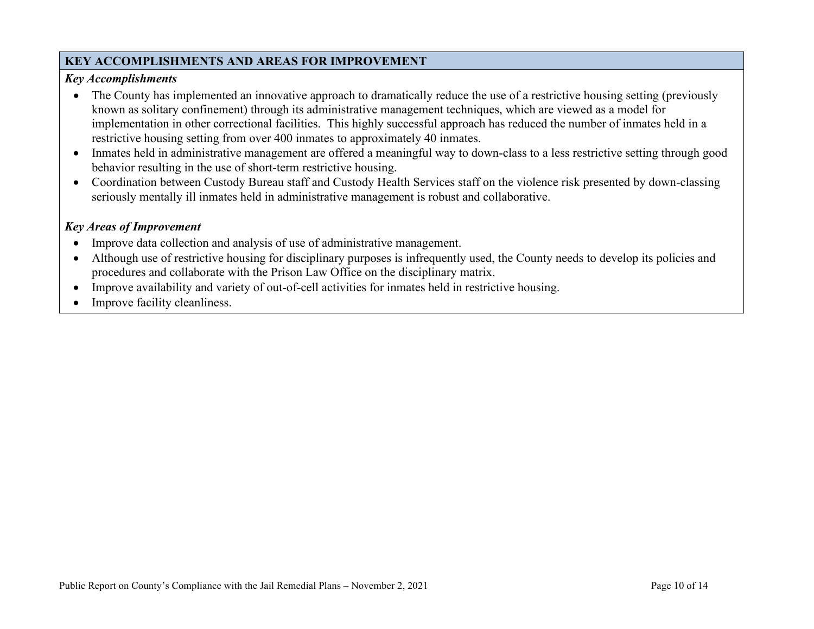## **KEY ACCOMPLISHMENTS AND AREAS FOR IMPROVEMENT**

#### *Key Accomplishments*

- The County has implemented an innovative approach to dramatically reduce the use of a restrictive housing setting (previously known as solitary confinement) through its administrative management techniques, which are viewed as a model for implementation in other correctional facilities. This highly successful approach has reduced the number of inmates held in a restrictive housing setting from over 400 inmates to approximately 40 inmates.
- Inmates held in administrative management are offered a meaningful way to down-class to a less restrictive setting through good behavior resulting in the use of short-term restrictive housing.
- Coordination between Custody Bureau staff and Custody Health Services staff on the violence risk presented by down-classing seriously mentally ill inmates held in administrative management is robust and collaborative.

- Improve data collection and analysis of use of administrative management.
- Although use of restrictive housing for disciplinary purposes is infrequently used, the County needs to develop its policies and procedures and collaborate with the Prison Law Office on the disciplinary matrix.
- Improve availability and variety of out-of-cell activities for inmates held in restrictive housing.
- Improve facility cleanliness.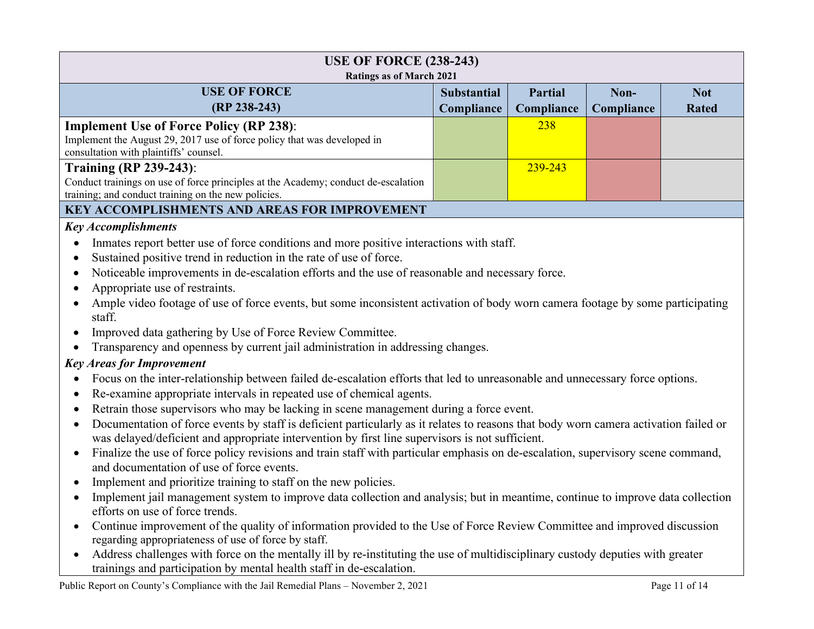| <b>USE OF FORCE (238-243)</b>                                                                                                                     |                    |                |            |              |  |
|---------------------------------------------------------------------------------------------------------------------------------------------------|--------------------|----------------|------------|--------------|--|
| <b>Ratings as of March 2021</b>                                                                                                                   |                    |                |            |              |  |
| <b>USE OF FORCE</b>                                                                                                                               | <b>Substantial</b> | <b>Partial</b> | Non-       | <b>Not</b>   |  |
| (RP 238-243)                                                                                                                                      | Compliance         | Compliance     | Compliance | <b>Rated</b> |  |
| <b>Implement Use of Force Policy (RP 238):</b>                                                                                                    |                    | 238            |            |              |  |
| Implement the August 29, 2017 use of force policy that was developed in                                                                           |                    |                |            |              |  |
| consultation with plaintiffs' counsel.                                                                                                            |                    |                |            |              |  |
| <b>Training (RP 239-243):</b>                                                                                                                     |                    | 239-243        |            |              |  |
| Conduct trainings on use of force principles at the Academy; conduct de-escalation<br>training; and conduct training on the new policies.         |                    |                |            |              |  |
| <b>KEY ACCOMPLISHMENTS AND AREAS FOR IMPROVEMENT</b>                                                                                              |                    |                |            |              |  |
| <b>Key Accomplishments</b>                                                                                                                        |                    |                |            |              |  |
| Inmates report better use of force conditions and more positive interactions with staff.                                                          |                    |                |            |              |  |
| Sustained positive trend in reduction in the rate of use of force.                                                                                |                    |                |            |              |  |
| Noticeable improvements in de-escalation efforts and the use of reasonable and necessary force.                                                   |                    |                |            |              |  |
| Appropriate use of restraints.                                                                                                                    |                    |                |            |              |  |
| Ample video footage of use of force events, but some inconsistent activation of body worn camera footage by some participating                    |                    |                |            |              |  |
| staff.                                                                                                                                            |                    |                |            |              |  |
| Improved data gathering by Use of Force Review Committee.                                                                                         |                    |                |            |              |  |
| Transparency and openness by current jail administration in addressing changes.                                                                   |                    |                |            |              |  |
| <b>Key Areas for Improvement</b>                                                                                                                  |                    |                |            |              |  |
| Focus on the inter-relationship between failed de-escalation efforts that led to unreasonable and unnecessary force options.                      |                    |                |            |              |  |
| Re-examine appropriate intervals in repeated use of chemical agents.                                                                              |                    |                |            |              |  |
| Retrain those supervisors who may be lacking in scene management during a force event.                                                            |                    |                |            |              |  |
| Documentation of force events by staff is deficient particularly as it relates to reasons that body worn camera activation failed or<br>$\bullet$ |                    |                |            |              |  |
| was delayed/deficient and appropriate intervention by first line supervisors is not sufficient.                                                   |                    |                |            |              |  |
| Finalize the use of force policy revisions and train staff with particular emphasis on de-escalation, supervisory scene command,                  |                    |                |            |              |  |
| and documentation of use of force events.                                                                                                         |                    |                |            |              |  |

- Implement and prioritize training to staff on the new policies.
- Implement jail management system to improve data collection and analysis; but in meantime, continue to improve data collection efforts on use of force trends.
- Continue improvement of the quality of information provided to the Use of Force Review Committee and improved discussion regarding appropriateness of use of force by staff.
- Address challenges with force on the mentally ill by re-instituting the use of multidisciplinary custody deputies with greater trainings and participation by mental health staff in de-escalation.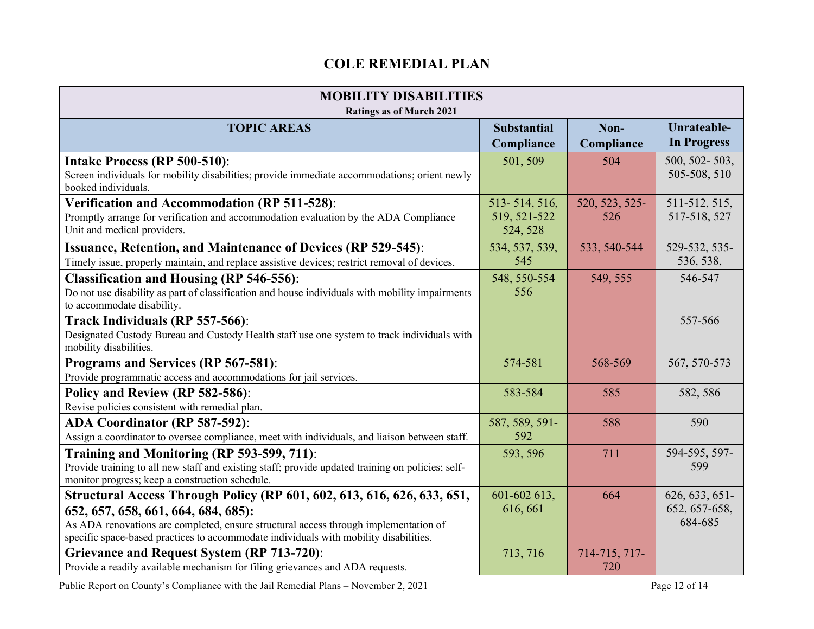# **COLE REMEDIAL PLAN**

| <b>MOBILITY DISABILITIES</b><br><b>Ratings as of March 2021</b>                                                                                                                                                                                                                                 |                                           |                       |                                            |
|-------------------------------------------------------------------------------------------------------------------------------------------------------------------------------------------------------------------------------------------------------------------------------------------------|-------------------------------------------|-----------------------|--------------------------------------------|
| <b>TOPIC AREAS</b>                                                                                                                                                                                                                                                                              | <b>Substantial</b><br>Compliance          | Non-<br>Compliance    | Unrateable-<br><b>In Progress</b>          |
| Intake Process (RP 500-510):<br>Screen individuals for mobility disabilities; provide immediate accommodations; orient newly<br>booked individuals.                                                                                                                                             | 501, 509                                  | 504                   | 500, 502-503,<br>505-508, 510              |
| Verification and Accommodation (RP 511-528):<br>Promptly arrange for verification and accommodation evaluation by the ADA Compliance<br>Unit and medical providers.                                                                                                                             | 513-514, 516,<br>519, 521-522<br>524, 528 | 520, 523, 525-<br>526 | 511-512, 515,<br>517-518, 527              |
| <b>Issuance, Retention, and Maintenance of Devices (RP 529-545):</b><br>Timely issue, properly maintain, and replace assistive devices; restrict removal of devices.                                                                                                                            | 534, 537, 539,<br>545                     | 533, 540-544          | 529-532, 535-<br>536, 538,                 |
| <b>Classification and Housing (RP 546-556):</b><br>Do not use disability as part of classification and house individuals with mobility impairments<br>to accommodate disability.                                                                                                                | 548, 550-554<br>556                       | 549, 555              | 546-547                                    |
| Track Individuals (RP 557-566):<br>Designated Custody Bureau and Custody Health staff use one system to track individuals with<br>mobility disabilities.                                                                                                                                        |                                           |                       | 557-566                                    |
| Programs and Services (RP 567-581):<br>Provide programmatic access and accommodations for jail services.                                                                                                                                                                                        | 574-581                                   | 568-569               | 567, 570-573                               |
| Policy and Review (RP 582-586):<br>Revise policies consistent with remedial plan.                                                                                                                                                                                                               | 583-584                                   | 585                   | 582, 586                                   |
| <b>ADA Coordinator (RP 587-592):</b><br>Assign a coordinator to oversee compliance, meet with individuals, and liaison between staff.                                                                                                                                                           | 587, 589, 591-<br>592                     | 588                   | 590                                        |
| Training and Monitoring (RP 593-599, 711):<br>Provide training to all new staff and existing staff; provide updated training on policies; self-<br>monitor progress; keep a construction schedule.                                                                                              | 593, 596                                  | 711                   | 594-595, 597-<br>599                       |
| Structural Access Through Policy (RP 601, 602, 613, 616, 626, 633, 651,<br>652, 657, 658, 661, 664, 684, 685):<br>As ADA renovations are completed, ensure structural access through implementation of<br>specific space-based practices to accommodate individuals with mobility disabilities. | 601-602 613,<br>616, 661                  | 664                   | 626, 633, 651-<br>652, 657-658,<br>684-685 |
| <b>Grievance and Request System (RP 713-720):</b><br>Provide a readily available mechanism for filing grievances and ADA requests.                                                                                                                                                              | 713, 716                                  | 714-715, 717-<br>720  |                                            |

Public Report on County's Compliance with the Jail Remedial Plans – November 2, 2021 Page 12 of 14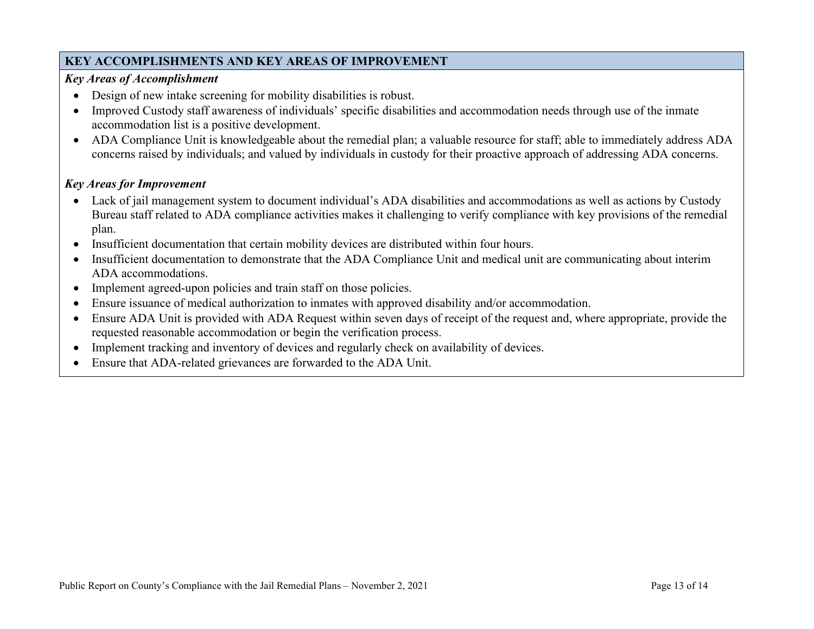# **KEY ACCOMPLISHMENTS AND KEY AREAS OF IMPROVEMENT**

#### *Key Areas of Accomplishment*

- Design of new intake screening for mobility disabilities is robust.
- Improved Custody staff awareness of individuals' specific disabilities and accommodation needs through use of the inmate accommodation list is a positive development.
- ADA Compliance Unit is knowledgeable about the remedial plan; a valuable resource for staff; able to immediately address ADA concerns raised by individuals; and valued by individuals in custody for their proactive approach of addressing ADA concerns.

- Lack of jail management system to document individual's ADA disabilities and accommodations as well as actions by Custody Bureau staff related to ADA compliance activities makes it challenging to verify compliance with key provisions of the remedial plan.
- Insufficient documentation that certain mobility devices are distributed within four hours.
- Insufficient documentation to demonstrate that the ADA Compliance Unit and medical unit are communicating about interim ADA accommodations.
- Implement agreed-upon policies and train staff on those policies.
- Ensure issuance of medical authorization to inmates with approved disability and/or accommodation.
- Ensure ADA Unit is provided with ADA Request within seven days of receipt of the request and, where appropriate, provide the requested reasonable accommodation or begin the verification process.
- Implement tracking and inventory of devices and regularly check on availability of devices.
- Ensure that ADA-related grievances are forwarded to the ADA Unit.